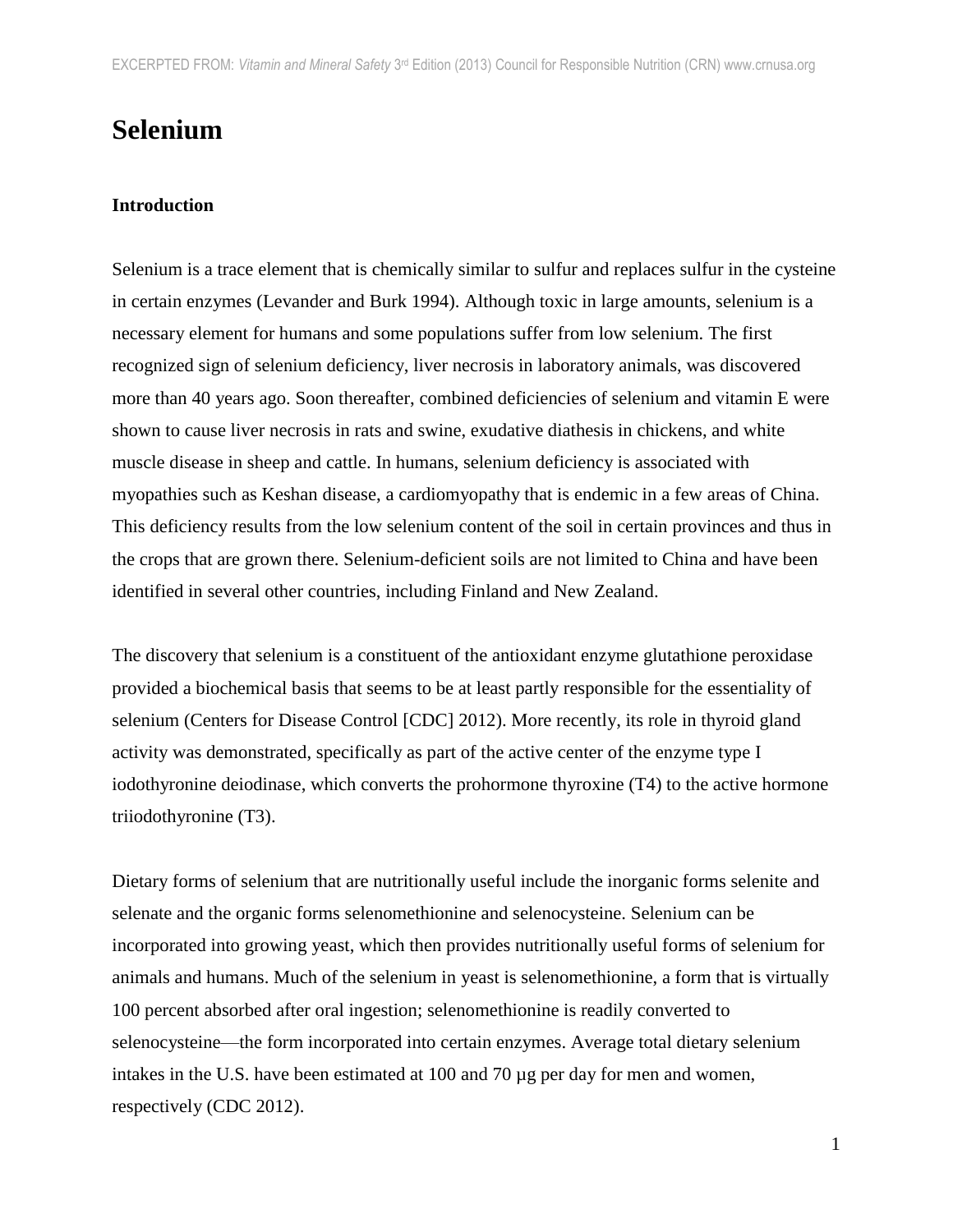# **Selenium**

### **Introduction**

Selenium is a trace element that is chemically similar to sulfur and replaces sulfur in the cysteine in certain enzymes (Levander and Burk 1994). Although toxic in large amounts, selenium is a necessary element for humans and some populations suffer from low selenium. The first recognized sign of selenium deficiency, liver necrosis in laboratory animals, was discovered more than 40 years ago. Soon thereafter, combined deficiencies of selenium and vitamin E were shown to cause liver necrosis in rats and swine, exudative diathesis in chickens, and white muscle disease in sheep and cattle. In humans, selenium deficiency is associated with myopathies such as Keshan disease, a cardiomyopathy that is endemic in a few areas of China. This deficiency results from the low selenium content of the soil in certain provinces and thus in the crops that are grown there. Selenium-deficient soils are not limited to China and have been identified in several other countries, including Finland and New Zealand.

The discovery that selenium is a constituent of the antioxidant enzyme glutathione peroxidase provided a biochemical basis that seems to be at least partly responsible for the essentiality of selenium (Centers for Disease Control [CDC] 2012). More recently, its role in thyroid gland activity was demonstrated, specifically as part of the active center of the enzyme type I iodothyronine deiodinase, which converts the prohormone thyroxine (T4) to the active hormone triiodothyronine (T3).

Dietary forms of selenium that are nutritionally useful include the inorganic forms selenite and selenate and the organic forms selenomethionine and selenocysteine. Selenium can be incorporated into growing yeast, which then provides nutritionally useful forms of selenium for animals and humans. Much of the selenium in yeast is selenomethionine, a form that is virtually 100 percent absorbed after oral ingestion; selenomethionine is readily converted to selenocysteine—the form incorporated into certain enzymes. Average total dietary selenium intakes in the U.S. have been estimated at 100 and 70 µg per day for men and women, respectively (CDC 2012).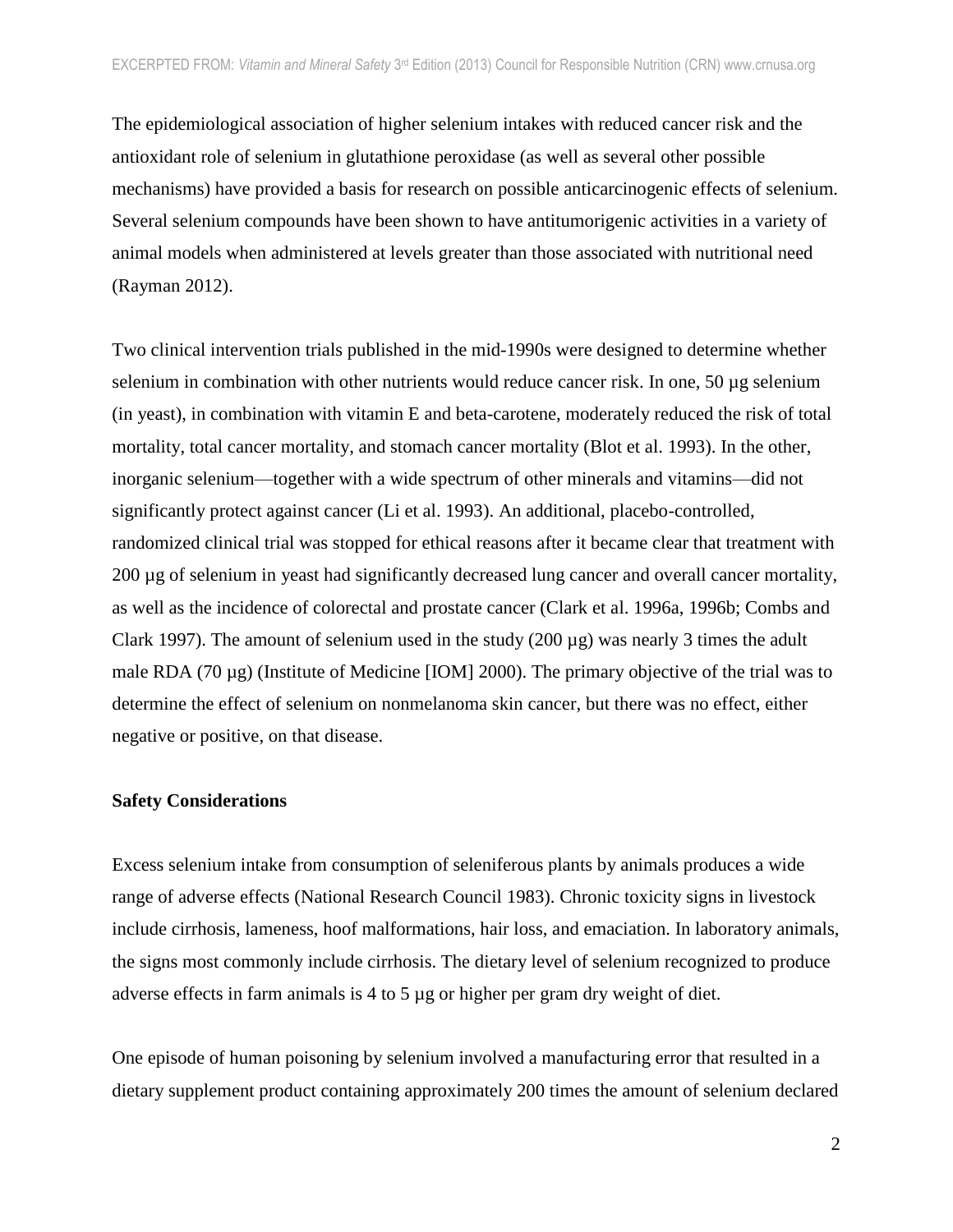The epidemiological association of higher selenium intakes with reduced cancer risk and the antioxidant role of selenium in glutathione peroxidase (as well as several other possible mechanisms) have provided a basis for research on possible anticarcinogenic effects of selenium. Several selenium compounds have been shown to have antitumorigenic activities in a variety of animal models when administered at levels greater than those associated with nutritional need (Rayman 2012).

Two clinical intervention trials published in the mid-1990s were designed to determine whether selenium in combination with other nutrients would reduce cancer risk. In one,  $50 \mu$ g selenium (in yeast), in combination with vitamin E and beta-carotene, moderately reduced the risk of total mortality, total cancer mortality, and stomach cancer mortality (Blot et al. 1993). In the other, inorganic selenium—together with a wide spectrum of other minerals and vitamins—did not significantly protect against cancer (Li et al. 1993). An additional, placebo-controlled, randomized clinical trial was stopped for ethical reasons after it became clear that treatment with 200 µg of selenium in yeast had significantly decreased lung cancer and overall cancer mortality, as well as the incidence of colorectal and prostate cancer (Clark et al. 1996a, 1996b; Combs and Clark 1997). The amount of selenium used in the study  $(200 \mu g)$  was nearly 3 times the adult male RDA (70 µg) (Institute of Medicine [IOM] 2000). The primary objective of the trial was to determine the effect of selenium on nonmelanoma skin cancer, but there was no effect, either negative or positive, on that disease.

#### **Safety Considerations**

Excess selenium intake from consumption of seleniferous plants by animals produces a wide range of adverse effects (National Research Council 1983). Chronic toxicity signs in livestock include cirrhosis, lameness, hoof malformations, hair loss, and emaciation. In laboratory animals, the signs most commonly include cirrhosis. The dietary level of selenium recognized to produce adverse effects in farm animals is 4 to 5 µg or higher per gram dry weight of diet.

One episode of human poisoning by selenium involved a manufacturing error that resulted in a dietary supplement product containing approximately 200 times the amount of selenium declared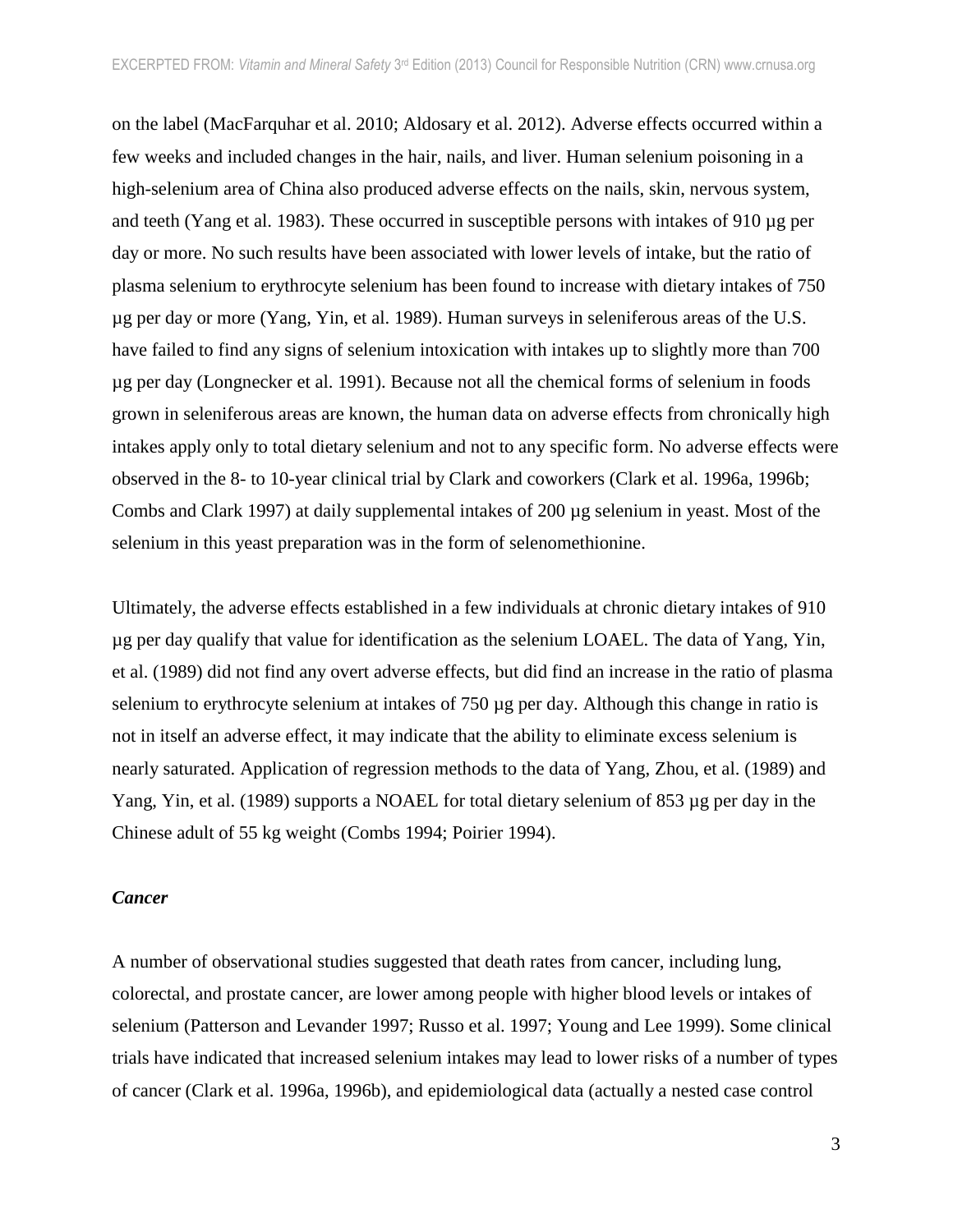on the label (MacFarquhar et al. 2010; Aldosary et al. 2012). Adverse effects occurred within a few weeks and included changes in the hair, nails, and liver. Human selenium poisoning in a high-selenium area of China also produced adverse effects on the nails, skin, nervous system, and teeth (Yang et al. 1983). These occurred in susceptible persons with intakes of 910 µg per day or more. No such results have been associated with lower levels of intake, but the ratio of plasma selenium to erythrocyte selenium has been found to increase with dietary intakes of 750 µg per day or more (Yang, Yin, et al. 1989). Human surveys in seleniferous areas of the U.S. have failed to find any signs of selenium intoxication with intakes up to slightly more than 700 µg per day (Longnecker et al. 1991). Because not all the chemical forms of selenium in foods grown in seleniferous areas are known, the human data on adverse effects from chronically high intakes apply only to total dietary selenium and not to any specific form. No adverse effects were observed in the 8- to 10-year clinical trial by Clark and coworkers (Clark et al. 1996a, 1996b; Combs and Clark 1997) at daily supplemental intakes of 200 µg selenium in yeast. Most of the selenium in this yeast preparation was in the form of selenomethionine.

Ultimately, the adverse effects established in a few individuals at chronic dietary intakes of 910 µg per day qualify that value for identification as the selenium LOAEL. The data of Yang, Yin, et al. (1989) did not find any overt adverse effects, but did find an increase in the ratio of plasma selenium to erythrocyte selenium at intakes of 750 µg per day. Although this change in ratio is not in itself an adverse effect, it may indicate that the ability to eliminate excess selenium is nearly saturated. Application of regression methods to the data of Yang, Zhou, et al. (1989) and Yang, Yin, et al. (1989) supports a NOAEL for total dietary selenium of 853 µg per day in the Chinese adult of 55 kg weight (Combs 1994; Poirier 1994).

#### *Cancer*

A number of observational studies suggested that death rates from cancer, including lung, colorectal, and prostate cancer, are lower among people with higher blood levels or intakes of selenium (Patterson and Levander 1997; Russo et al. 1997; Young and Lee 1999). Some clinical trials have indicated that increased selenium intakes may lead to lower risks of a number of types of cancer (Clark et al. 1996a, 1996b), and epidemiological data (actually a nested case control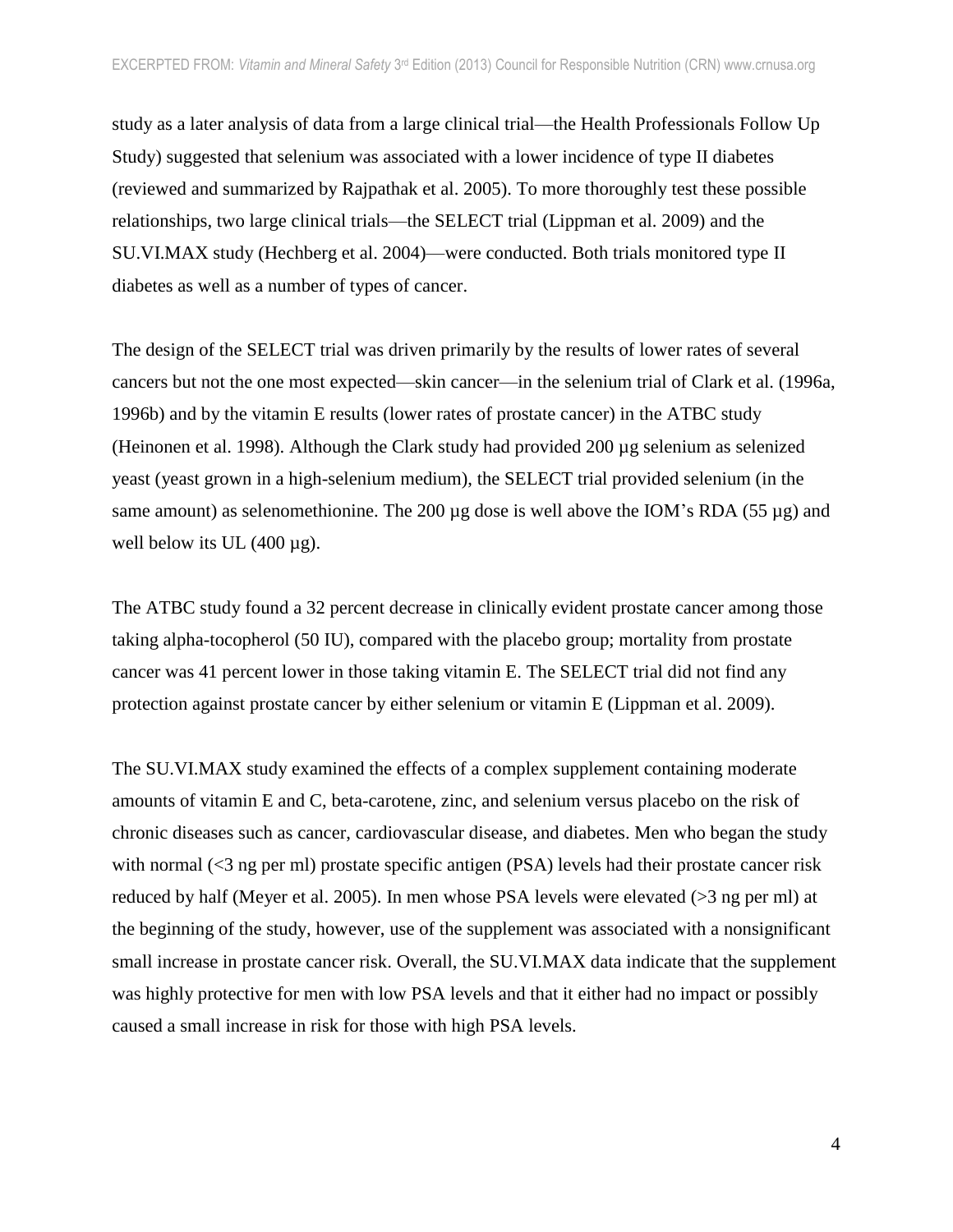study as a later analysis of data from a large clinical trial—the Health Professionals Follow Up Study) suggested that selenium was associated with a lower incidence of type II diabetes (reviewed and summarized by Rajpathak et al. 2005). To more thoroughly test these possible relationships, two large clinical trials—the SELECT trial (Lippman et al. 2009) and the SU.VI.MAX study (Hechberg et al. 2004)—were conducted. Both trials monitored type II diabetes as well as a number of types of cancer.

The design of the SELECT trial was driven primarily by the results of lower rates of several cancers but not the one most expected—skin cancer—in the selenium trial of Clark et al. (1996a, 1996b) and by the vitamin E results (lower rates of prostate cancer) in the ATBC study (Heinonen et al. 1998). Although the Clark study had provided 200 µg selenium as selenized yeast (yeast grown in a high-selenium medium), the SELECT trial provided selenium (in the same amount) as selenomethionine. The 200  $\mu$ g dose is well above the IOM's RDA (55  $\mu$ g) and well below its UL  $(400 \mu g)$ .

The ATBC study found a 32 percent decrease in clinically evident prostate cancer among those taking alpha-tocopherol (50 IU), compared with the placebo group; mortality from prostate cancer was 41 percent lower in those taking vitamin E. The SELECT trial did not find any protection against prostate cancer by either selenium or vitamin E (Lippman et al. 2009).

The SU.VI.MAX study examined the effects of a complex supplement containing moderate amounts of vitamin E and C, beta-carotene, zinc, and selenium versus placebo on the risk of chronic diseases such as cancer, cardiovascular disease, and diabetes. Men who began the study with normal (<3 ng per ml) prostate specific antigen (PSA) levels had their prostate cancer risk reduced by half (Meyer et al. 2005). In men whose PSA levels were elevated (>3 ng per ml) at the beginning of the study, however, use of the supplement was associated with a nonsignificant small increase in prostate cancer risk. Overall, the SU.VI.MAX data indicate that the supplement was highly protective for men with low PSA levels and that it either had no impact or possibly caused a small increase in risk for those with high PSA levels.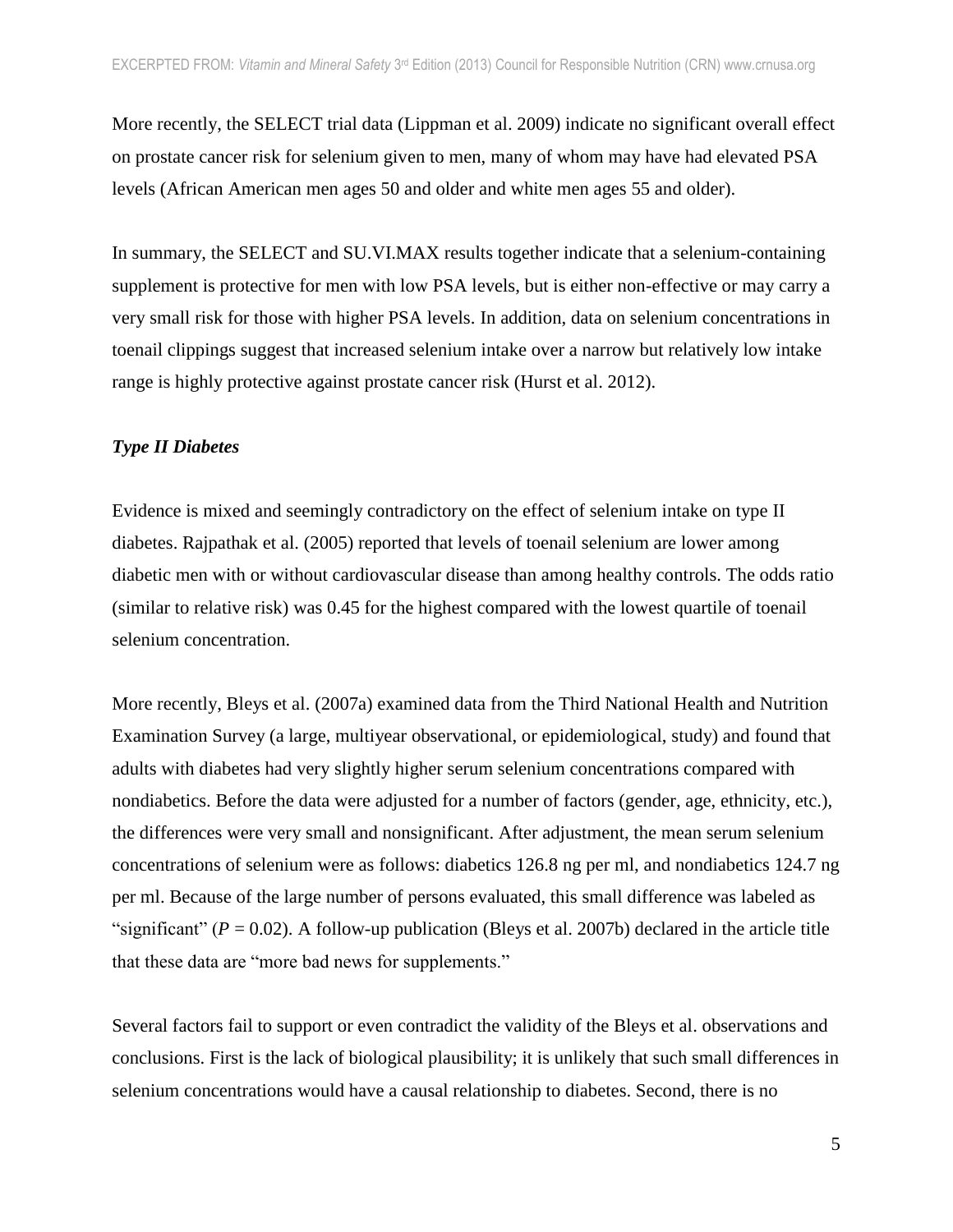More recently, the SELECT trial data (Lippman et al. 2009) indicate no significant overall effect on prostate cancer risk for selenium given to men, many of whom may have had elevated PSA levels (African American men ages 50 and older and white men ages 55 and older).

In summary, the SELECT and SU.VI.MAX results together indicate that a selenium-containing supplement is protective for men with low PSA levels, but is either non-effective or may carry a very small risk for those with higher PSA levels. In addition, data on selenium concentrations in toenail clippings suggest that increased selenium intake over a narrow but relatively low intake range is highly protective against prostate cancer risk (Hurst et al. 2012).

#### *Type II Diabetes*

Evidence is mixed and seemingly contradictory on the effect of selenium intake on type II diabetes. Rajpathak et al. (2005) reported that levels of toenail selenium are lower among diabetic men with or without cardiovascular disease than among healthy controls. The odds ratio (similar to relative risk) was 0.45 for the highest compared with the lowest quartile of toenail selenium concentration.

More recently, Bleys et al. (2007a) examined data from the Third National Health and Nutrition Examination Survey (a large, multiyear observational, or epidemiological, study) and found that adults with diabetes had very slightly higher serum selenium concentrations compared with nondiabetics. Before the data were adjusted for a number of factors (gender, age, ethnicity, etc.), the differences were very small and nonsignificant. After adjustment, the mean serum selenium concentrations of selenium were as follows: diabetics 126.8 ng per ml, and nondiabetics 124.7 ng per ml. Because of the large number of persons evaluated, this small difference was labeled as "significant" ( $P = 0.02$ ). A follow-up publication (Bleys et al. 2007b) declared in the article title that these data are "more bad news for supplements."

Several factors fail to support or even contradict the validity of the Bleys et al. observations and conclusions. First is the lack of biological plausibility; it is unlikely that such small differences in selenium concentrations would have a causal relationship to diabetes. Second, there is no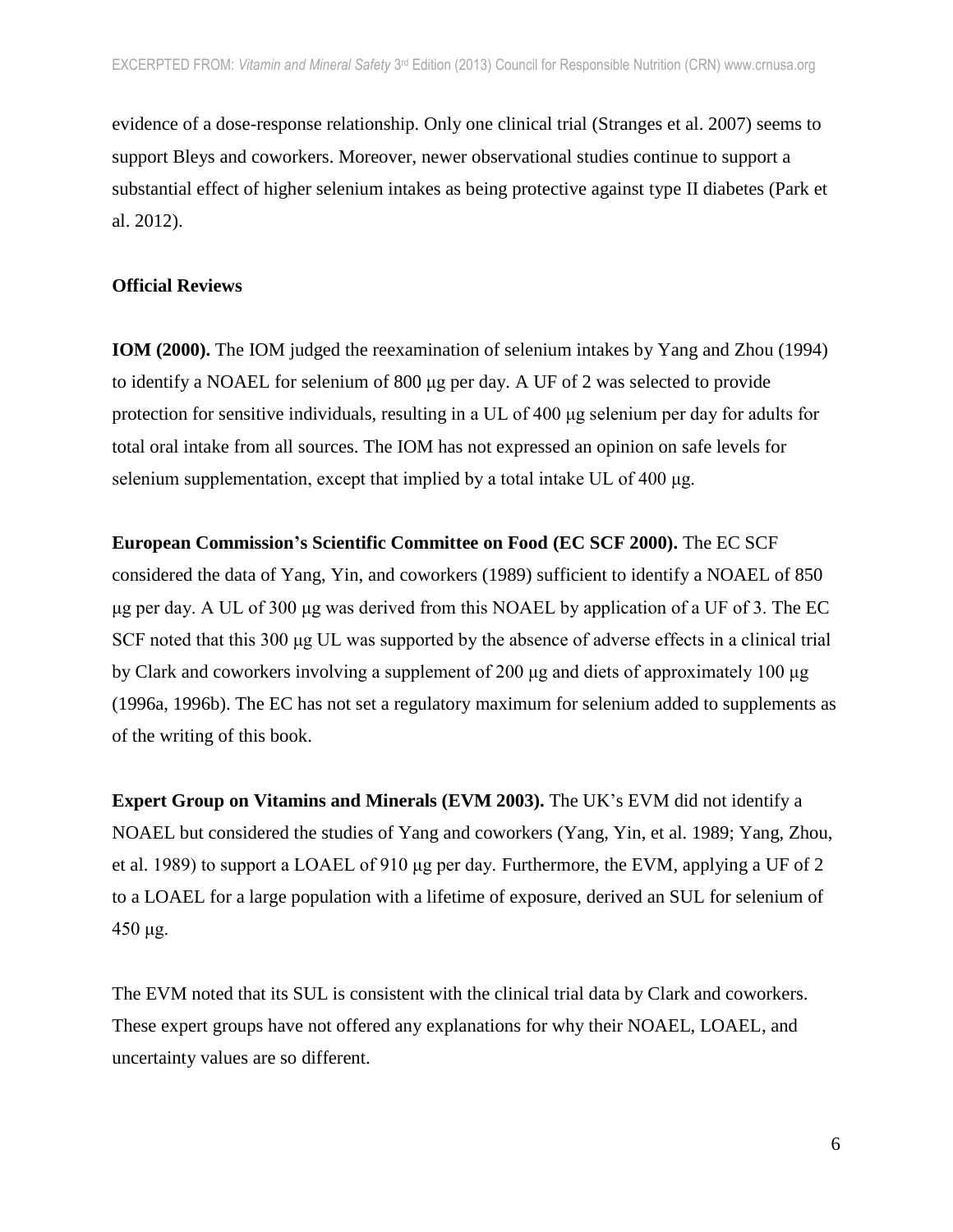evidence of a dose-response relationship. Only one clinical trial (Stranges et al. 2007) seems to support Bleys and coworkers. Moreover, newer observational studies continue to support a substantial effect of higher selenium intakes as being protective against type II diabetes (Park et al. 2012).

# **Official Reviews**

**IOM (2000).** The IOM judged the reexamination of selenium intakes by Yang and Zhou (1994) to identify a NOAEL for selenium of 800 μg per day. A UF of 2 was selected to provide protection for sensitive individuals, resulting in a UL of 400 μg selenium per day for adults for total oral intake from all sources. The IOM has not expressed an opinion on safe levels for selenium supplementation, except that implied by a total intake UL of 400 μg.

**European Commission's Scientific Committee on Food (EC SCF 2000).** The EC SCF considered the data of Yang, Yin, and coworkers (1989) sufficient to identify a NOAEL of 850 μg per day. A UL of 300 μg was derived from this NOAEL by application of a UF of 3. The EC SCF noted that this 300 μg UL was supported by the absence of adverse effects in a clinical trial by Clark and coworkers involving a supplement of 200 μg and diets of approximately 100 μg (1996a, 1996b). The EC has not set a regulatory maximum for selenium added to supplements as of the writing of this book.

**Expert Group on Vitamins and Minerals (EVM 2003).** The UK's EVM did not identify a NOAEL but considered the studies of Yang and coworkers (Yang, Yin, et al. 1989; Yang, Zhou, et al. 1989) to support a LOAEL of 910 μg per day. Furthermore, the EVM, applying a UF of 2 to a LOAEL for a large population with a lifetime of exposure, derived an SUL for selenium of 450 μg.

The EVM noted that its SUL is consistent with the clinical trial data by Clark and coworkers. These expert groups have not offered any explanations for why their NOAEL, LOAEL, and uncertainty values are so different.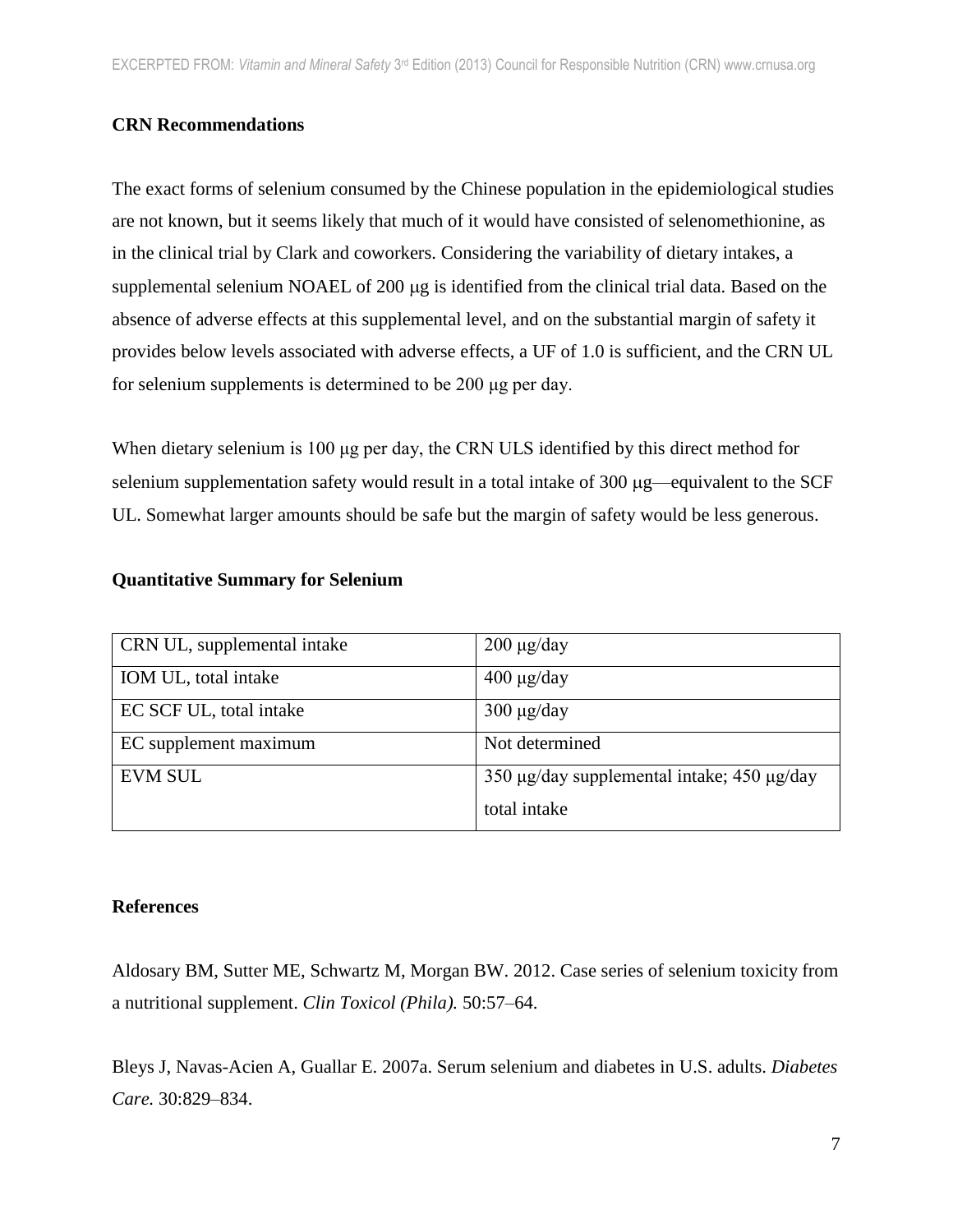# **CRN Recommendations**

The exact forms of selenium consumed by the Chinese population in the epidemiological studies are not known, but it seems likely that much of it would have consisted of selenomethionine, as in the clinical trial by Clark and coworkers. Considering the variability of dietary intakes, a supplemental selenium NOAEL of 200 µg is identified from the clinical trial data. Based on the absence of adverse effects at this supplemental level, and on the substantial margin of safety it provides below levels associated with adverse effects, a UF of 1.0 is sufficient, and the CRN UL for selenium supplements is determined to be 200 μg per day.

When dietary selenium is 100 μg per day, the CRN ULS identified by this direct method for selenium supplementation safety would result in a total intake of 300  $\mu$ g—equivalent to the SCF UL. Somewhat larger amounts should be safe but the margin of safety would be less generous.

| CRN UL, supplemental intake | $200 \mu g/day$                            |
|-----------------------------|--------------------------------------------|
| IOM UL, total intake        | $400 \mu g/day$                            |
| EC SCF UL, total intake     | $300 \mu g/day$                            |
| EC supplement maximum       | Not determined                             |
| <b>EVM SUL</b>              | 350 μg/day supplemental intake; 450 μg/day |
|                             | total intake                               |

# **Quantitative Summary for Selenium**

# **References**

[Aldosary BM,](http://www.ncbi.nlm.nih.gov/pubmed?term=Aldosary%20BM%5BAuthor%5D&cauthor=true&cauthor_uid=22165838) [Sutter ME,](http://www.ncbi.nlm.nih.gov/pubmed?term=Sutter%20ME%5BAuthor%5D&cauthor=true&cauthor_uid=22165838) [Schwartz M,](http://www.ncbi.nlm.nih.gov/pubmed?term=Schwartz%20M%5BAuthor%5D&cauthor=true&cauthor_uid=22165838) [Morgan BW.](http://www.ncbi.nlm.nih.gov/pubmed?term=Morgan%20BW%5BAuthor%5D&cauthor=true&cauthor_uid=22165838) 2012. Case series of selenium toxicity from a nutritional supplement. *Clin Toxicol (Phila).* 50:57–64.

Bleys J, Navas-Acien A, Guallar E. 2007a. Serum selenium and diabetes in U.S. adults. *Diabetes Care.* 30:829–834.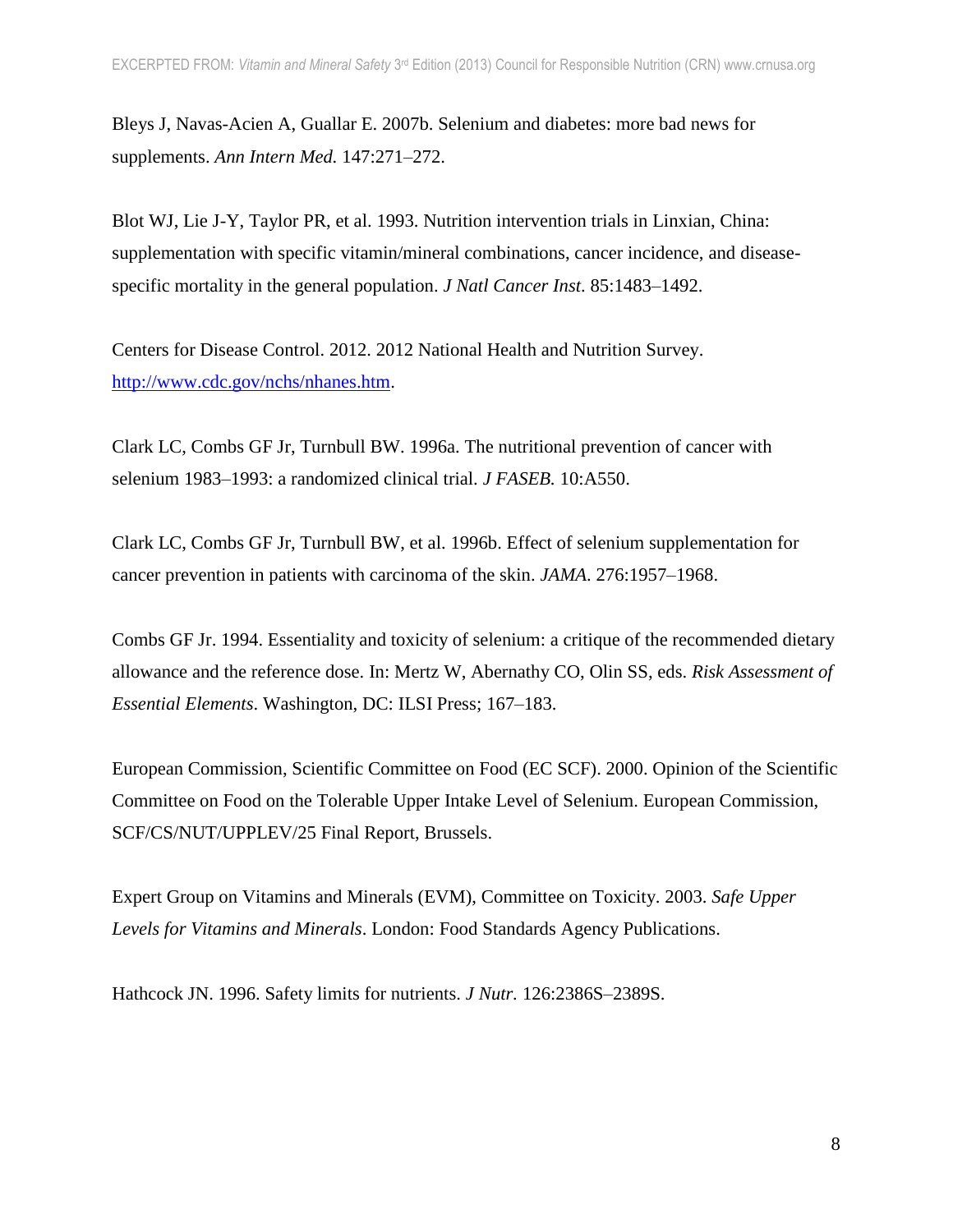Bleys J, Navas-Acien A, Guallar E. 2007b. Selenium and diabetes: more bad news for supplements. *Ann Intern Med.* 147:271–272.

Blot WJ, Lie J-Y, Taylor PR, et al. 1993. Nutrition intervention trials in Linxian, China: supplementation with specific vitamin/mineral combinations, cancer incidence, and diseasespecific mortality in the general population. *J Natl Cancer Inst*. 85:1483–1492.

Centers for Disease Control. 2012. 2012 National Health and Nutrition Survey. [http://www.cdc.gov/nchs/nhanes.htm.](http://www.cdc.gov/nchs/nhanes.htm)

Clark LC, Combs GF Jr, Turnbull BW. 1996a. The nutritional prevention of cancer with selenium 1983–1993: a randomized clinical trial. *J FASEB.* 10:A550.

Clark LC, Combs GF Jr, Turnbull BW, et al. 1996b. Effect of selenium supplementation for cancer prevention in patients with carcinoma of the skin. *JAMA*. 276:1957–1968.

Combs GF Jr. 1994. Essentiality and toxicity of selenium: a critique of the recommended dietary allowance and the reference dose. In: Mertz W, Abernathy CO, Olin SS, eds. *Risk Assessment of Essential Elements*. Washington, DC: ILSI Press; 167–183.

European Commission, Scientific Committee on Food (EC SCF). 2000. Opinion of the Scientific Committee on Food on the Tolerable Upper Intake Level of Selenium. European Commission, SCF/CS/NUT/UPPLEV/25 Final Report, Brussels.

Expert Group on Vitamins and Minerals (EVM), Committee on Toxicity. 2003. *Safe Upper Levels for Vitamins and Minerals*. London: Food Standards Agency Publications.

Hathcock JN. 1996. Safety limits for nutrients. *J Nutr.* 126:2386S–2389S.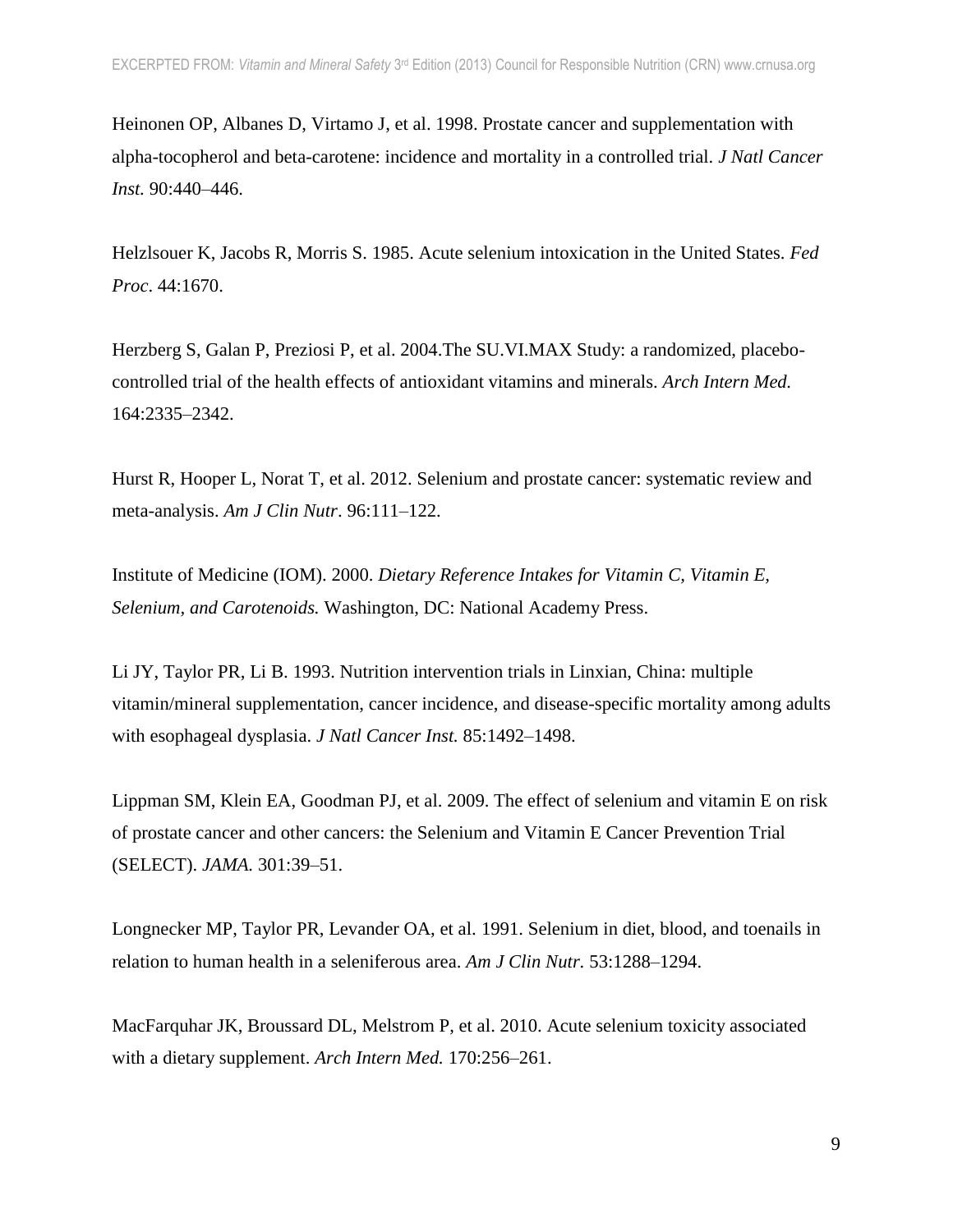Heinonen OP, Albanes D, Virtamo J, et al. 1998. Prostate cancer and supplementation with alpha-tocopherol and beta-carotene: incidence and mortality in a controlled trial. *J Natl Cancer Inst.* 90:440–446.

Helzlsouer K, Jacobs R, Morris S. 1985. Acute selenium intoxication in the United States. *Fed Proc*. 44:1670.

Herzberg S, Galan P, Preziosi P, et al. 2004.The SU.VI.MAX Study: a randomized, placebocontrolled trial of the health effects of antioxidant vitamins and minerals. *[Arch Intern Med.](http://www.ncbi.nlm.nih.gov/pubmed/15557412)* 164:2335–2342.

Hurst R, Hooper L, Norat T, et al. 2012. Selenium and prostate cancer: systematic review and meta-analysis. *Am J Clin Nutr*. 96:111–122.

Institute of Medicine (IOM). 2000. *Dietary Reference Intakes for Vitamin C, Vitamin E, Selenium, and Carotenoids.* Washington, DC: National Academy Press.

Li JY, Taylor PR, Li B. 1993. Nutrition intervention trials in Linxian, China: multiple vitamin/mineral supplementation, cancer incidence, and disease-specific mortality among adults with esophageal dysplasia. *J Natl Cancer Inst.* 85:1492–1498.

Lippman SM, Klein EA, Goodman PJ, et al. 2009. The effect of selenium and vitamin E on risk of prostate cancer and other cancers: the Selenium and Vitamin E Cancer Prevention Trial (SELECT). *JAMA.* 301:39–51.

Longnecker MP, Taylor PR, Levander OA, et al. 1991. Selenium in diet, blood, and toenails in relation to human health in a seleniferous area. *Am J Clin Nutr.* 53:1288–1294.

[MacFarquhar JK,](http://www.ncbi.nlm.nih.gov/pubmed?term=MacFarquhar%20JK%5BAuthor%5D&cauthor=true&cauthor_uid=20142570) [Broussard DL,](http://www.ncbi.nlm.nih.gov/pubmed?term=Broussard%20DL%5BAuthor%5D&cauthor=true&cauthor_uid=20142570) [Melstrom P,](http://www.ncbi.nlm.nih.gov/pubmed?term=Melstrom%20P%5BAuthor%5D&cauthor=true&cauthor_uid=20142570) et al. 2010. Acute selenium toxicity associated with a dietary supplement. *Arch Intern Med.* 170:256–261.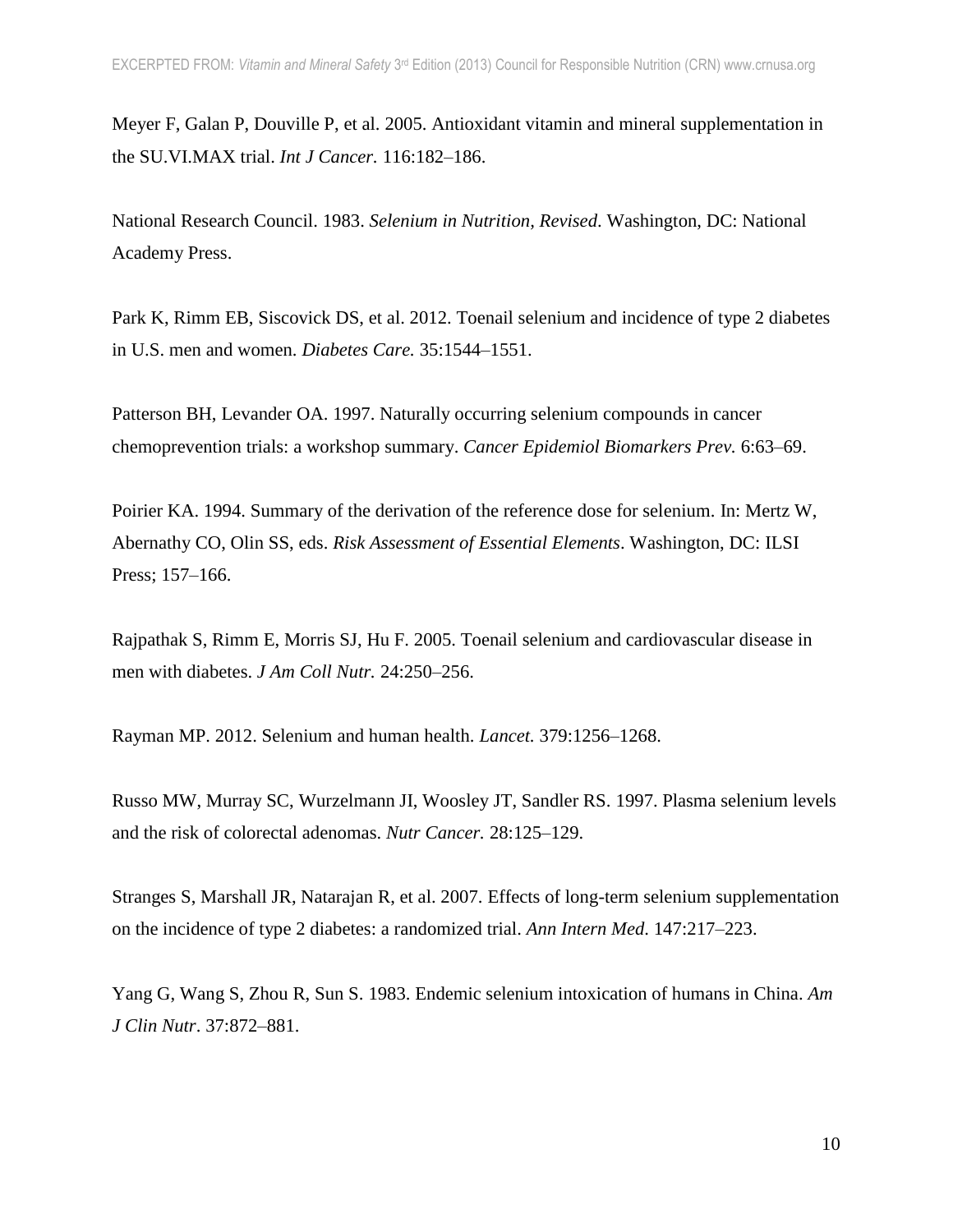Meyer F, Galan P, Douville P, et al. 2005. Antioxidant vitamin and mineral supplementation in the SU.VI.MAX trial. *Int J Cancer.* 116:182–186.

National Research Council. 1983. *Selenium in Nutrition, Revised*. Washington, DC: National Academy Press.

Park K, Rimm EB, Siscovick DS, et al. 2012. Toenail selenium and incidence of type 2 diabetes in U.S. men and women. *Diabetes Care.* 35:1544–1551.

Patterson BH, Levander OA. 1997. Naturally occurring selenium compounds in cancer chemoprevention trials: a workshop summary. *Cancer Epidemiol Biomarkers Prev.* 6:63–69.

Poirier KA. 1994. Summary of the derivation of the reference dose for selenium. In: Mertz W, Abernathy CO, Olin SS, eds. *Risk Assessment of Essential Elements*. Washington, DC: ILSI Press; 157–166.

Rajpathak S, Rimm E, Morris SJ, Hu F. 2005. Toenail selenium and cardiovascular disease in men with diabetes. *J Am Coll Nutr.* 24:250–256.

Rayman MP. 2012. Selenium and human health. *Lancet.* 379:1256–1268.

Russo MW, Murray SC, Wurzelmann JI, Woosley JT, Sandler RS. 1997. Plasma selenium levels and the risk of colorectal adenomas. *Nutr Cancer.* 28:125–129.

[Stranges S,](http://www.ncbi.nlm.nih.gov/pubmed?term=Stranges%20S%5BAuthor%5D&cauthor=true&cauthor_uid=17620655) [Marshall JR,](http://www.ncbi.nlm.nih.gov/pubmed?term=Marshall%20JR%5BAuthor%5D&cauthor=true&cauthor_uid=17620655) [Natarajan R,](http://www.ncbi.nlm.nih.gov/pubmed?term=Natarajan%20R%5BAuthor%5D&cauthor=true&cauthor_uid=17620655) et al. 2007. Effects of long-term selenium supplementation on the incidence of type 2 diabetes: a randomized trial. *Ann Intern Med*. 147:217–223.

Yang G, Wang S, Zhou R, Sun S. 1983. Endemic selenium intoxication of humans in China. *Am J Clin Nutr*. 37:872–881.